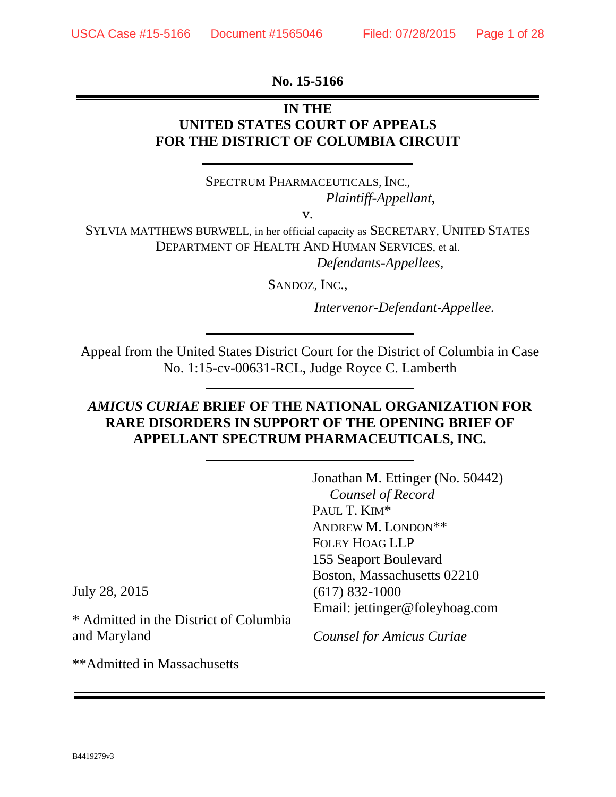#### **No. 15-5166**

# **IN THE UNITED STATES COURT OF APPEALS FOR THE DISTRICT OF COLUMBIA CIRCUIT**

SPECTRUM PHARMACEUTICALS, INC., *Plaintiff-Appellant*,

v.

SYLVIA MATTHEWS BURWELL, in her official capacity as SECRETARY, UNITED STATES DEPARTMENT OF HEALTH AND HUMAN SERVICES, et al. *Defendants-Appellees*,

SANDOZ, INC.,

*Intervenor-Defendant-Appellee.*

Appeal from the United States District Court for the District of Columbia in Case No. 1:15-cv-00631-RCL, Judge Royce C. Lamberth

# *AMICUS CURIAE* **BRIEF OF THE NATIONAL ORGANIZATION FOR RARE DISORDERS IN SUPPORT OF THE OPENING BRIEF OF APPELLANT SPECTRUM PHARMACEUTICALS, INC.**

|                   | Jonathan M. Ettinger (No. 50442) |
|-------------------|----------------------------------|
|                   | Counsel of Record                |
|                   | PAUL T. KIM*                     |
|                   | ANDREW M. LONDON**               |
|                   | <b>FOLEY HOAG LLP</b>            |
|                   | 155 Seaport Boulevard            |
|                   | Boston, Massachusetts 02210      |
|                   | $(617)$ 832-1000                 |
|                   | Email: jettinger@foleyhoag.com   |
| trict of Columbia |                                  |
|                   | <b>Counsel for Amicus Curiae</b> |

July 28, 2015

 $*$  Admitted in the District of Columbia  $*$ and Maryland

\*\*Admitted in Massachusetts

B4419279v3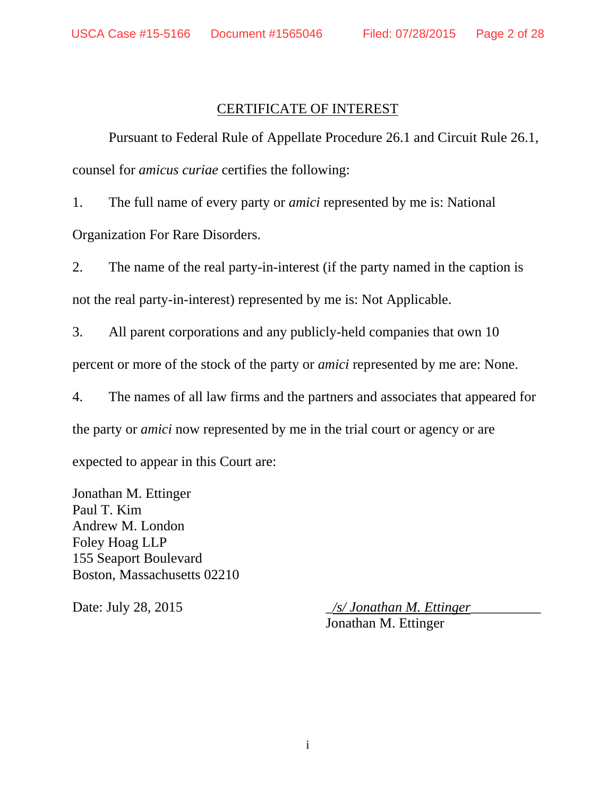### CERTIFICATE OF INTEREST

 Pursuant to Federal Rule of Appellate Procedure 26.1 and Circuit Rule 26.1, counsel for *amicus curiae* certifies the following:

1. The full name of every party or *amici* represented by me is: National

Organization For Rare Disorders.

2. The name of the real party-in-interest (if the party named in the caption is not the real party-in-interest) represented by me is: Not Applicable.

3. All parent corporations and any publicly-held companies that own 10 percent or more of the stock of the party or *amici* represented by me are: None.

4. The names of all law firms and the partners and associates that appeared for

the party or *amici* now represented by me in the trial court or agency or are

expected to appear in this Court are:

Jonathan M. Ettinger Paul T. Kim Andrew M. London Foley Hoag LLP 155 Seaport Boulevard Boston, Massachusetts 02210

Date: July 28, 2015 \_*/s/ Jonathan M. Ettinger*\_\_\_\_\_\_\_\_\_\_ Jonathan M. Ettinger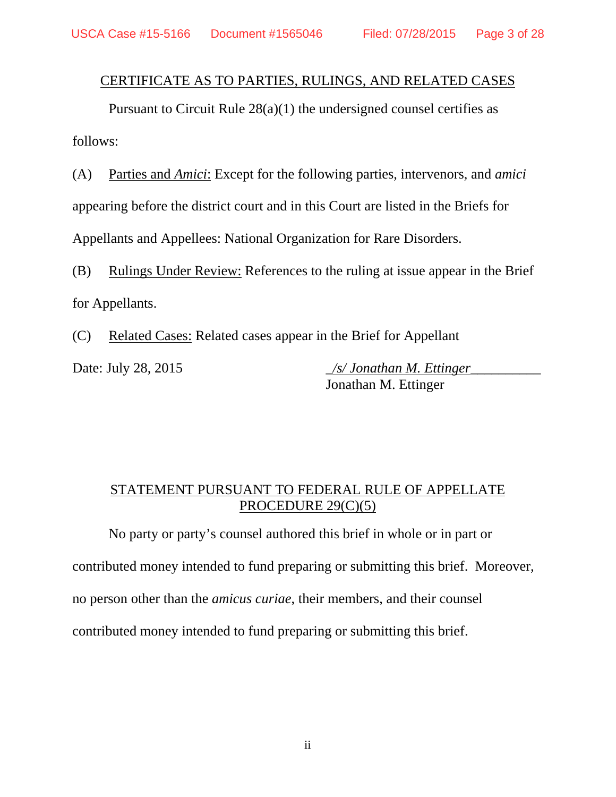# CERTIFICATE AS TO PARTIES, RULINGS, AND RELATED CASES

 Pursuant to Circuit Rule 28(a)(1) the undersigned counsel certifies as follows:

(A) Parties and *Amici*: Except for the following parties, intervenors, and *amici* appearing before the district court and in this Court are listed in the Briefs for Appellants and Appellees: National Organization for Rare Disorders.

(B) Rulings Under Review: References to the ruling at issue appear in the Brief for Appellants.

(C) Related Cases: Related cases appear in the Brief for Appellant

Date: July 28, 2015 \_*/s/ Jonathan M. Ettinger*\_\_\_\_\_\_\_\_\_\_ Jonathan M. Ettinger

# STATEMENT PURSUANT TO FEDERAL RULE OF APPELLATE PROCEDURE 29(C)(5)

No party or party's counsel authored this brief in whole or in part or contributed money intended to fund preparing or submitting this brief. Moreover, no person other than the *amicus curiae*, their members, and their counsel contributed money intended to fund preparing or submitting this brief.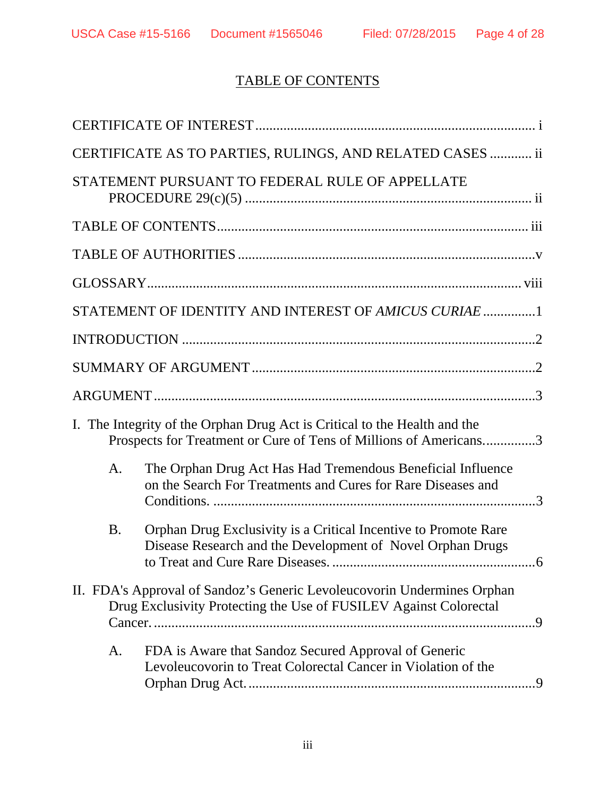# TABLE OF CONTENTS

|           | CERTIFICATE AS TO PARTIES, RULINGS, AND RELATED CASES  ii                                                                                      |
|-----------|------------------------------------------------------------------------------------------------------------------------------------------------|
|           | STATEMENT PURSUANT TO FEDERAL RULE OF APPELLATE                                                                                                |
|           |                                                                                                                                                |
|           |                                                                                                                                                |
|           |                                                                                                                                                |
|           | STATEMENT OF IDENTITY AND INTEREST OF AMICUS CURIAE 1                                                                                          |
|           |                                                                                                                                                |
|           |                                                                                                                                                |
|           |                                                                                                                                                |
|           | I. The Integrity of the Orphan Drug Act is Critical to the Health and the<br>Prospects for Treatment or Cure of Tens of Millions of Americans3 |
| A.        | The Orphan Drug Act Has Had Tremendous Beneficial Influence<br>on the Search For Treatments and Cures for Rare Diseases and                    |
| <b>B.</b> | Orphan Drug Exclusivity is a Critical Incentive to Promote Rare<br>Disease Research and the Development of Novel Orphan Drugs                  |
|           | II. FDA's Approval of Sandoz's Generic Levoleucovorin Undermines Orphan<br>Drug Exclusivity Protecting the Use of FUSILEV Against Colorectal   |
| A.        | FDA is Aware that Sandoz Secured Approval of Generic<br>Levoleucovorin to Treat Colorectal Cancer in Violation of the                          |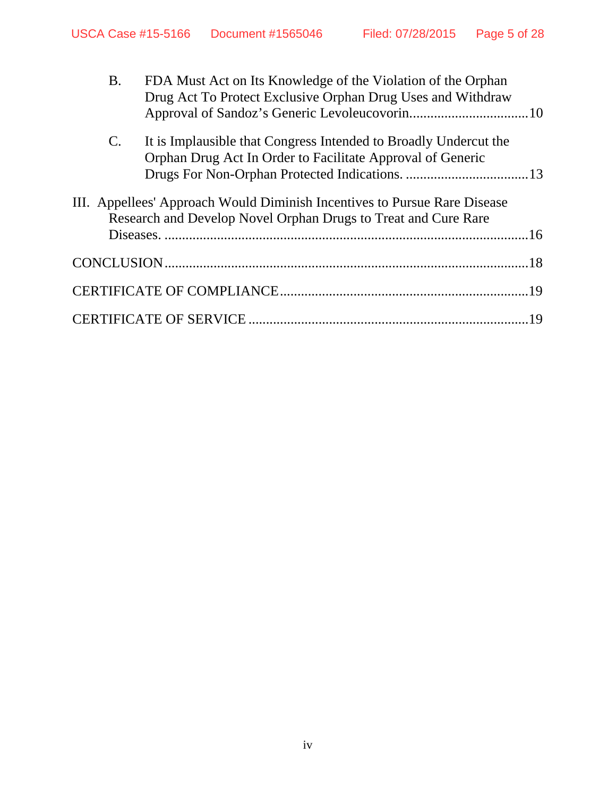| <b>B.</b>      | FDA Must Act on Its Knowledge of the Violation of the Orphan<br>Drug Act To Protect Exclusive Orphan Drug Uses and Withdraw                 |  |
|----------------|---------------------------------------------------------------------------------------------------------------------------------------------|--|
| $\mathbf{C}$ . | It is Implausible that Congress Intended to Broadly Undercut the<br>Orphan Drug Act In Order to Facilitate Approval of Generic              |  |
|                | III. Appellees' Approach Would Diminish Incentives to Pursue Rare Disease<br>Research and Develop Novel Orphan Drugs to Treat and Cure Rare |  |
|                |                                                                                                                                             |  |
|                |                                                                                                                                             |  |
|                |                                                                                                                                             |  |
|                |                                                                                                                                             |  |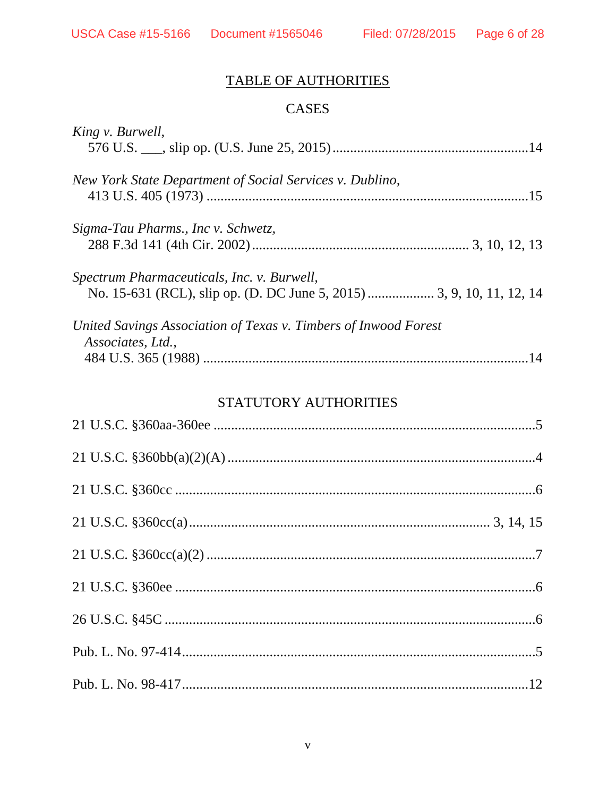# TABLE OF AUTHORITIES

# CASES

| King v. Burwell,                                                                     |
|--------------------------------------------------------------------------------------|
| New York State Department of Social Services v. Dublino,                             |
| Sigma-Tau Pharms., Inc v. Schwetz,                                                   |
| Spectrum Pharmaceuticals, Inc. v. Burwell,                                           |
| United Savings Association of Texas v. Timbers of Inwood Forest<br>Associates, Ltd., |

# STATUTORY AUTHORITIES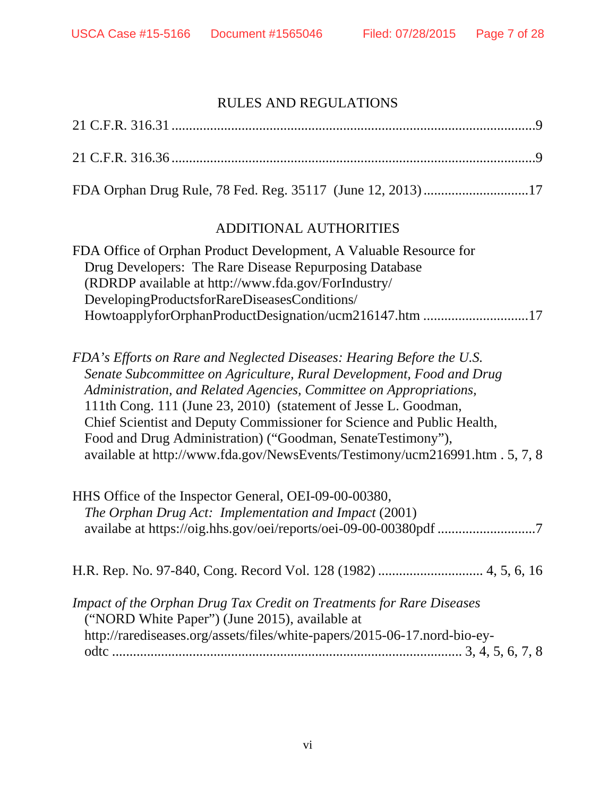# RULES AND REGULATIONS

| FDA Orphan Drug Rule, 78 Fed. Reg. 35117 (June 12, 2013)17                                                                                                                                                                                                                                                                                                                                                                                                                                                     |
|----------------------------------------------------------------------------------------------------------------------------------------------------------------------------------------------------------------------------------------------------------------------------------------------------------------------------------------------------------------------------------------------------------------------------------------------------------------------------------------------------------------|
| ADDITIONAL AUTHORITIES                                                                                                                                                                                                                                                                                                                                                                                                                                                                                         |
| FDA Office of Orphan Product Development, A Valuable Resource for<br>Drug Developers: The Rare Disease Repurposing Database<br>(RDRDP available at http://www.fda.gov/ForIndustry/<br>DevelopingProductsforRareDiseasesConditions/<br>HowtoapplyforOrphanProductDesignation/ucm216147.htm 17                                                                                                                                                                                                                   |
| FDA's Efforts on Rare and Neglected Diseases: Hearing Before the U.S.<br>Senate Subcommittee on Agriculture, Rural Development, Food and Drug<br>Administration, and Related Agencies, Committee on Appropriations,<br>111th Cong. 111 (June 23, 2010) (statement of Jesse L. Goodman,<br>Chief Scientist and Deputy Commissioner for Science and Public Health,<br>Food and Drug Administration) ("Goodman, SenateTestimony"),<br>available at http://www.fda.gov/NewsEvents/Testimony/ucm216991.htm. 5, 7, 8 |
| HHS Office of the Inspector General, OEI-09-00-00380,<br>The Orphan Drug Act: Implementation and Impact (2001)<br>availabe at https://oig.hhs.gov/oei/reports/oei-09-00-00380pdf 7                                                                                                                                                                                                                                                                                                                             |
|                                                                                                                                                                                                                                                                                                                                                                                                                                                                                                                |
| Impact of the Orphan Drug Tax Credit on Treatments for Rare Diseases<br>("NORD White Paper") (June 2015), available at<br>http://rarediseases.org/assets/files/white-papers/2015-06-17.nord-bio-ey-                                                                                                                                                                                                                                                                                                            |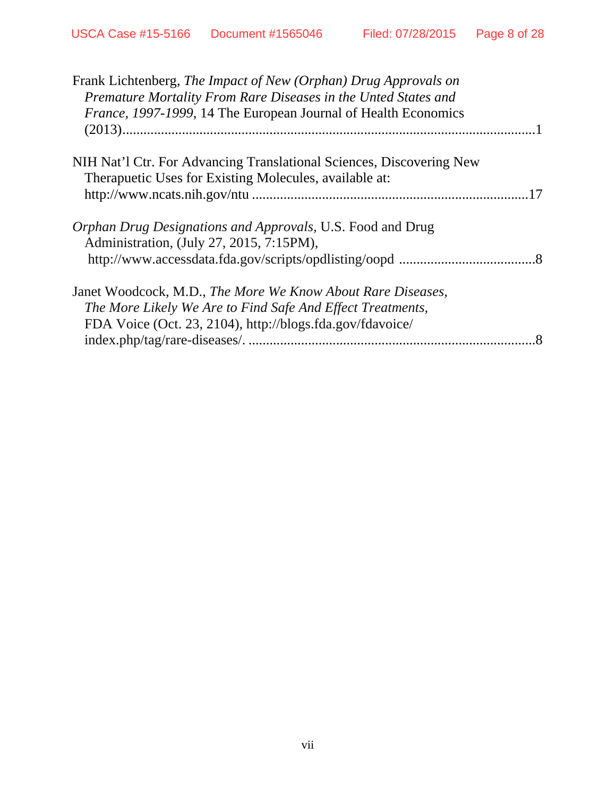| Frank Lichtenberg, The Impact of New (Orphan) Drug Approvals on      |  |
|----------------------------------------------------------------------|--|
| Premature Mortality From Rare Diseases in the Unted States and       |  |
| France, 1997-1999, 14 The European Journal of Health Economics       |  |
|                                                                      |  |
| NIH Nat'l Ctr. For Advancing Translational Sciences, Discovering New |  |
| Therapuetic Uses for Existing Molecules, available at:               |  |
|                                                                      |  |
| <i>Orphan Drug Designations and Approvals, U.S. Food and Drug</i>    |  |
| Administration, (July 27, 2015, 7:15PM),                             |  |
|                                                                      |  |
| Janet Woodcock, M.D., The More We Know About Rare Diseases,          |  |
| The More Likely We Are to Find Safe And Effect Treatments,           |  |
| FDA Voice (Oct. 23, 2104), http://blogs.fda.gov/fdavoice/            |  |
|                                                                      |  |
|                                                                      |  |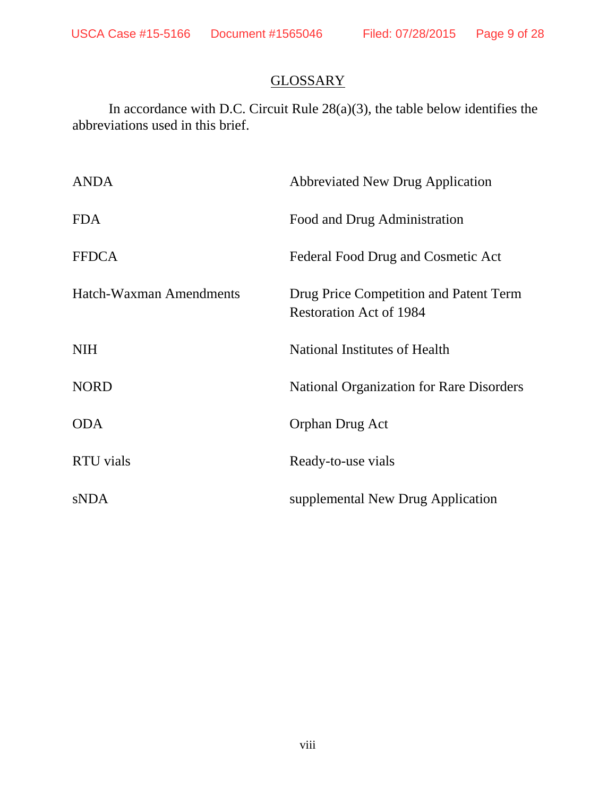# **GLOSSARY**

In accordance with D.C. Circuit Rule 28(a)(3), the table below identifies the abbreviations used in this brief.

| <b>ANDA</b>             | <b>Abbreviated New Drug Application</b>                                  |
|-------------------------|--------------------------------------------------------------------------|
| <b>FDA</b>              | Food and Drug Administration                                             |
| <b>FFDCA</b>            | Federal Food Drug and Cosmetic Act                                       |
| Hatch-Waxman Amendments | Drug Price Competition and Patent Term<br><b>Restoration Act of 1984</b> |
| <b>NIH</b>              | National Institutes of Health                                            |
| <b>NORD</b>             | <b>National Organization for Rare Disorders</b>                          |
| <b>ODA</b>              | Orphan Drug Act                                                          |
| <b>RTU</b> vials        | Ready-to-use vials                                                       |
| <b>sNDA</b>             | supplemental New Drug Application                                        |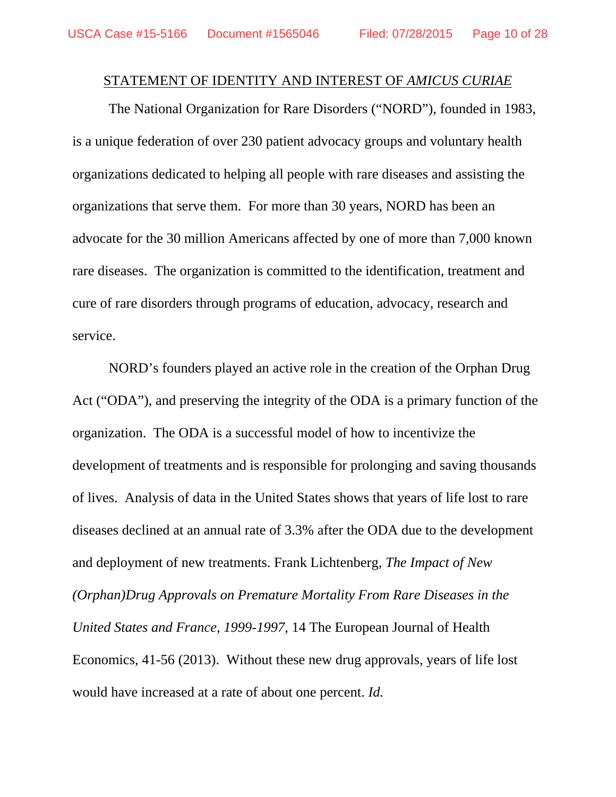#### STATEMENT OF IDENTITY AND INTEREST OF *AMICUS CURIAE*

The National Organization for Rare Disorders ("NORD"), founded in 1983, is a unique federation of over 230 patient advocacy groups and voluntary health organizations dedicated to helping all people with rare diseases and assisting the organizations that serve them. For more than 30 years, NORD has been an advocate for the 30 million Americans affected by one of more than 7,000 known rare diseases. The organization is committed to the identification, treatment and cure of rare disorders through programs of education, advocacy, research and service.

NORD's founders played an active role in the creation of the Orphan Drug Act ("ODA"), and preserving the integrity of the ODA is a primary function of the organization. The ODA is a successful model of how to incentivize the development of treatments and is responsible for prolonging and saving thousands of lives. Analysis of data in the United States shows that years of life lost to rare diseases declined at an annual rate of 3.3% after the ODA due to the development and deployment of new treatments. Frank Lichtenberg, *The Impact of New (Orphan)Drug Approvals on Premature Mortality From Rare Diseases in the United States and France, 1999-1997*, 14 The European Journal of Health Economics, 41-56 (2013). Without these new drug approvals, years of life lost would have increased at a rate of about one percent. *Id.*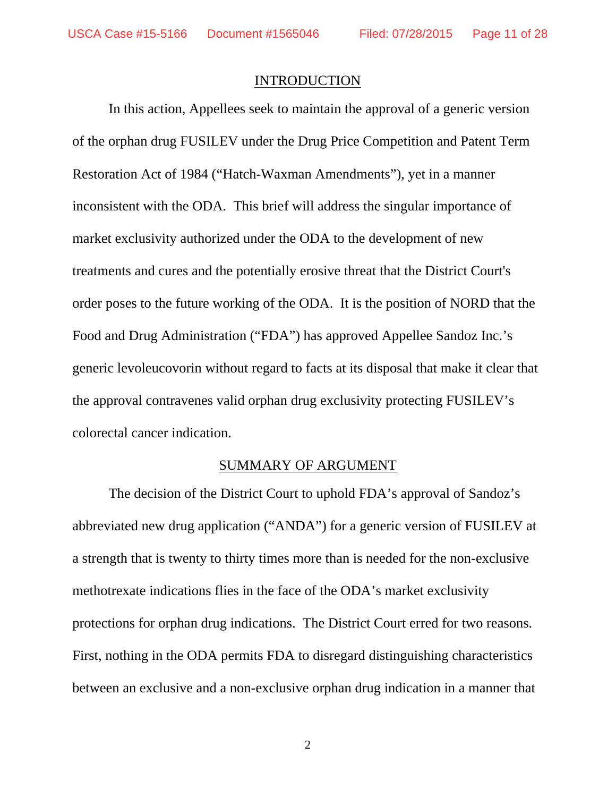#### INTRODUCTION

 In this action, Appellees seek to maintain the approval of a generic version of the orphan drug FUSILEV under the Drug Price Competition and Patent Term Restoration Act of 1984 ("Hatch-Waxman Amendments"), yet in a manner inconsistent with the ODA. This brief will address the singular importance of market exclusivity authorized under the ODA to the development of new treatments and cures and the potentially erosive threat that the District Court's order poses to the future working of the ODA. It is the position of NORD that the Food and Drug Administration ("FDA") has approved Appellee Sandoz Inc.'s generic levoleucovorin without regard to facts at its disposal that make it clear that the approval contravenes valid orphan drug exclusivity protecting FUSILEV's colorectal cancer indication.

#### SUMMARY OF ARGUMENT

The decision of the District Court to uphold FDA's approval of Sandoz's abbreviated new drug application ("ANDA") for a generic version of FUSILEV at a strength that is twenty to thirty times more than is needed for the non-exclusive methotrexate indications flies in the face of the ODA's market exclusivity protections for orphan drug indications. The District Court erred for two reasons. First, nothing in the ODA permits FDA to disregard distinguishing characteristics between an exclusive and a non-exclusive orphan drug indication in a manner that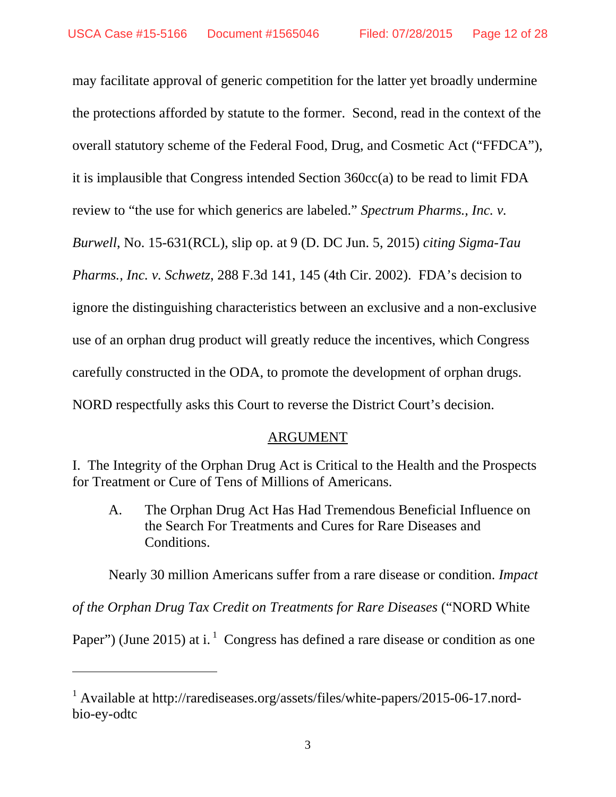may facilitate approval of generic competition for the latter yet broadly undermine the protections afforded by statute to the former. Second, read in the context of the overall statutory scheme of the Federal Food, Drug, and Cosmetic Act ("FFDCA"), it is implausible that Congress intended Section 360cc(a) to be read to limit FDA review to "the use for which generics are labeled." *Spectrum Pharms., Inc. v. Burwell*, No. 15-631(RCL), slip op. at 9 (D. DC Jun. 5, 2015) *citing Sigma-Tau Pharms., Inc. v. Schwetz*, 288 F.3d 141, 145 (4th Cir. 2002). FDA's decision to ignore the distinguishing characteristics between an exclusive and a non-exclusive use of an orphan drug product will greatly reduce the incentives, which Congress carefully constructed in the ODA, to promote the development of orphan drugs. NORD respectfully asks this Court to reverse the District Court's decision.

#### ARGUMENT

I. The Integrity of the Orphan Drug Act is Critical to the Health and the Prospects for Treatment or Cure of Tens of Millions of Americans.

A. The Orphan Drug Act Has Had Tremendous Beneficial Influence on the Search For Treatments and Cures for Rare Diseases and Conditions.

Nearly 30 million Americans suffer from a rare disease or condition. *Impact* 

*of the Orphan Drug Tax Credit on Treatments for Rare Diseases* ("NORD White

Paper") (June 2015) at i.  $^1$  Congress has defined a rare disease or condition as one

 $\overline{a}$ 

<sup>&</sup>lt;sup>1</sup> Available at http://rarediseases.org/assets/files/white-papers/2015-06-17.nordbio-ey-odtc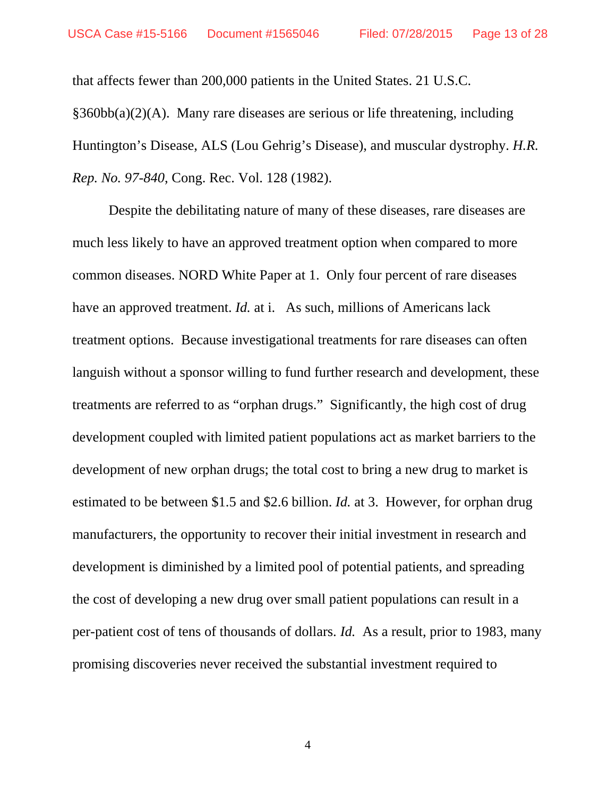that affects fewer than 200,000 patients in the United States. 21 U.S.C. §360bb(a)(2)(A). Many rare diseases are serious or life threatening, including Huntington's Disease, ALS (Lou Gehrig's Disease), and muscular dystrophy. *H.R. Rep. No. 97-840*, Cong. Rec. Vol. 128 (1982).

Despite the debilitating nature of many of these diseases, rare diseases are much less likely to have an approved treatment option when compared to more common diseases. NORD White Paper at 1. Only four percent of rare diseases have an approved treatment. *Id.* at i. As such, millions of Americans lack treatment options. Because investigational treatments for rare diseases can often languish without a sponsor willing to fund further research and development, these treatments are referred to as "orphan drugs." Significantly, the high cost of drug development coupled with limited patient populations act as market barriers to the development of new orphan drugs; the total cost to bring a new drug to market is estimated to be between \$1.5 and \$2.6 billion. *Id.* at 3. However, for orphan drug manufacturers, the opportunity to recover their initial investment in research and development is diminished by a limited pool of potential patients, and spreading the cost of developing a new drug over small patient populations can result in a per-patient cost of tens of thousands of dollars. *Id.* As a result, prior to 1983, many promising discoveries never received the substantial investment required to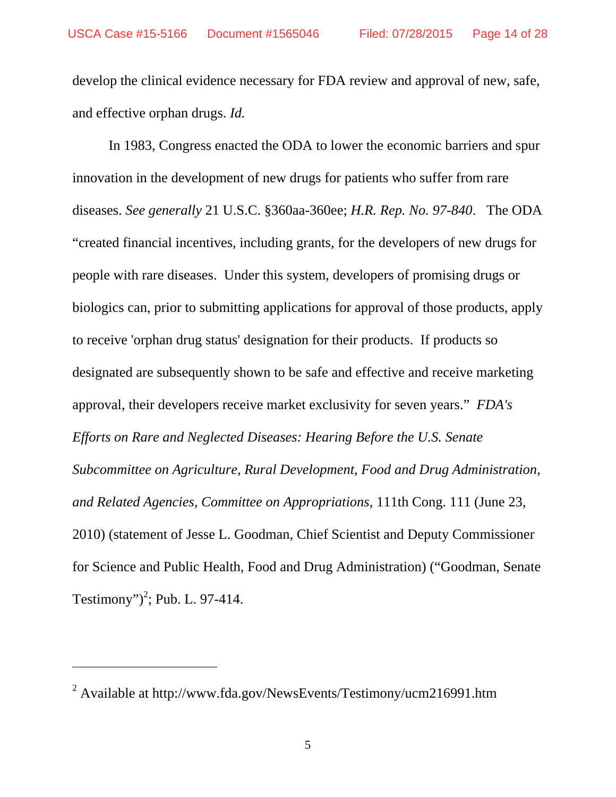develop the clinical evidence necessary for FDA review and approval of new, safe, and effective orphan drugs. *Id.* 

In 1983, Congress enacted the ODA to lower the economic barriers and spur innovation in the development of new drugs for patients who suffer from rare diseases. *See generally* 21 U.S.C. §360aa-360ee; *H.R. Rep. No. 97-840*. The ODA "created financial incentives, including grants, for the developers of new drugs for people with rare diseases. Under this system, developers of promising drugs or biologics can, prior to submitting applications for approval of those products, apply to receive 'orphan drug status' designation for their products. If products so designated are subsequently shown to be safe and effective and receive marketing approval, their developers receive market exclusivity for seven years." *FDA's Efforts on Rare and Neglected Diseases: Hearing Before the U.S. Senate Subcommittee on Agriculture, Rural Development, Food and Drug Administration, and Related Agencies, Committee on Appropriations*, 111th Cong. 111 (June 23, 2010) (statement of Jesse L. Goodman, Chief Scientist and Deputy Commissioner for Science and Public Health, Food and Drug Administration) ("Goodman, Senate Testimony")<sup>2</sup>; Pub. L. 97-414.

 $\overline{a}$ 

<sup>&</sup>lt;sup>2</sup> Available at http://www.fda.gov/NewsEvents/Testimony/ucm216991.htm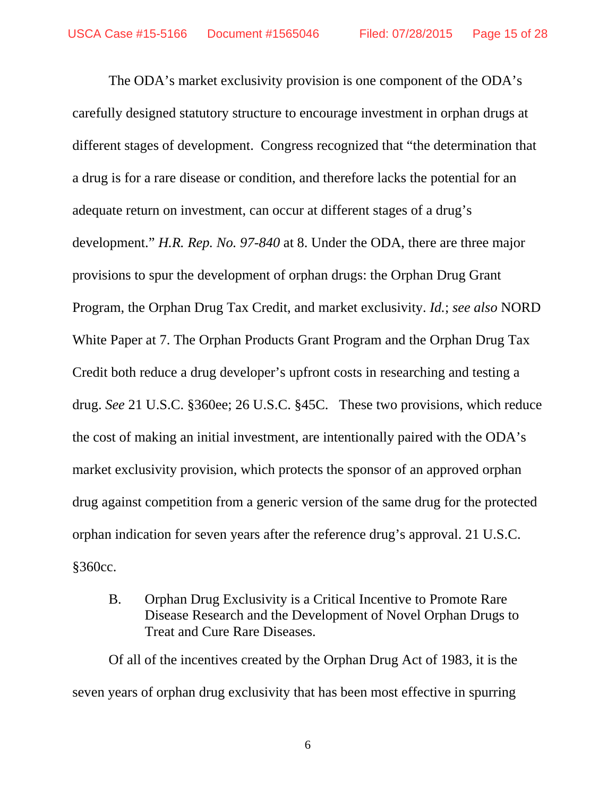The ODA's market exclusivity provision is one component of the ODA's carefully designed statutory structure to encourage investment in orphan drugs at different stages of development. Congress recognized that "the determination that a drug is for a rare disease or condition, and therefore lacks the potential for an adequate return on investment, can occur at different stages of a drug's development." *H.R. Rep. No. 97-840* at 8. Under the ODA, there are three major provisions to spur the development of orphan drugs: the Orphan Drug Grant Program, the Orphan Drug Tax Credit, and market exclusivity. *Id.*; *see also* NORD White Paper at 7. The Orphan Products Grant Program and the Orphan Drug Tax Credit both reduce a drug developer's upfront costs in researching and testing a drug. *See* 21 U.S.C. §360ee; 26 U.S.C. §45C. These two provisions, which reduce the cost of making an initial investment, are intentionally paired with the ODA's market exclusivity provision, which protects the sponsor of an approved orphan drug against competition from a generic version of the same drug for the protected orphan indication for seven years after the reference drug's approval. 21 U.S.C. §360cc.

B. Orphan Drug Exclusivity is a Critical Incentive to Promote Rare Disease Research and the Development of Novel Orphan Drugs to Treat and Cure Rare Diseases.

Of all of the incentives created by the Orphan Drug Act of 1983, it is the seven years of orphan drug exclusivity that has been most effective in spurring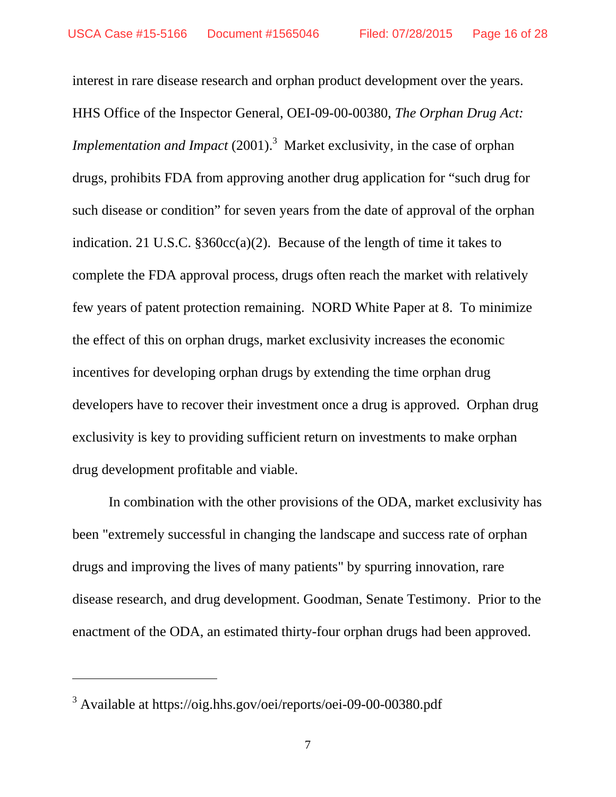interest in rare disease research and orphan product development over the years. HHS Office of the Inspector General, OEI-09-00-00380, *The Orphan Drug Act: Implementation and Impact* (2001).<sup>3</sup> Market exclusivity, in the case of orphan drugs, prohibits FDA from approving another drug application for "such drug for such disease or condition" for seven years from the date of approval of the orphan indication. 21 U.S.C. §360cc(a)(2). Because of the length of time it takes to complete the FDA approval process, drugs often reach the market with relatively few years of patent protection remaining. NORD White Paper at 8. To minimize the effect of this on orphan drugs, market exclusivity increases the economic incentives for developing orphan drugs by extending the time orphan drug developers have to recover their investment once a drug is approved. Orphan drug exclusivity is key to providing sufficient return on investments to make orphan drug development profitable and viable.

In combination with the other provisions of the ODA, market exclusivity has been "extremely successful in changing the landscape and success rate of orphan drugs and improving the lives of many patients" by spurring innovation, rare disease research, and drug development. Goodman, Senate Testimony. Prior to the enactment of the ODA, an estimated thirty-four orphan drugs had been approved.

 $\overline{a}$ 

<sup>&</sup>lt;sup>3</sup> Available at https://oig.hhs.gov/oei/reports/oei-09-00-00380.pdf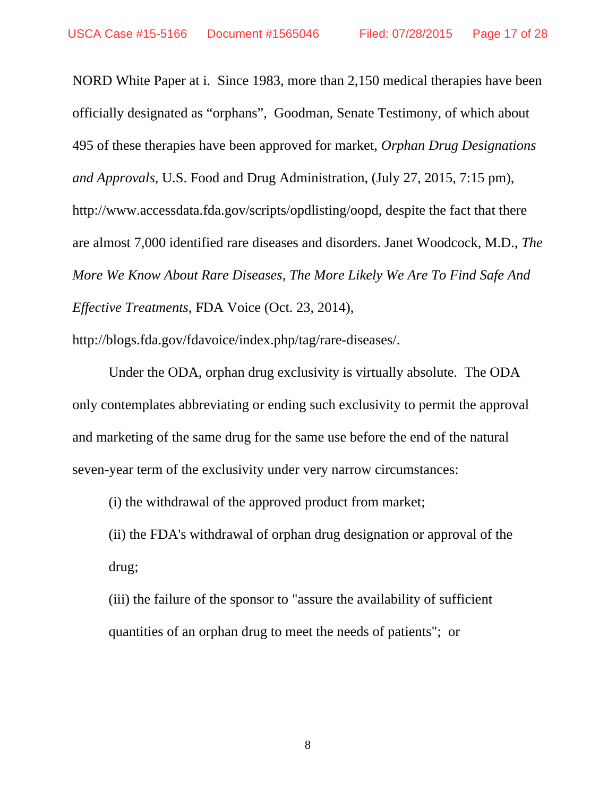NORD White Paper at i. Since 1983, more than 2,150 medical therapies have been officially designated as "orphans", Goodman, Senate Testimony, of which about 495 of these therapies have been approved for market, *Orphan Drug Designations and Approvals*, U.S. Food and Drug Administration, (July 27, 2015, 7:15 pm), http://www.accessdata.fda.gov/scripts/opdlisting/oopd, despite the fact that there are almost 7,000 identified rare diseases and disorders. Janet Woodcock, M.D., *The More We Know About Rare Diseases, The More Likely We Are To Find Safe And Effective Treatments*, FDA Voice (Oct. 23, 2014),

http://blogs.fda.gov/fdavoice/index.php/tag/rare-diseases/.

Under the ODA, orphan drug exclusivity is virtually absolute. The ODA only contemplates abbreviating or ending such exclusivity to permit the approval and marketing of the same drug for the same use before the end of the natural seven-year term of the exclusivity under very narrow circumstances:

(i) the withdrawal of the approved product from market;

(ii) the FDA's withdrawal of orphan drug designation or approval of the drug;

(iii) the failure of the sponsor to "assure the availability of sufficient quantities of an orphan drug to meet the needs of patients"; or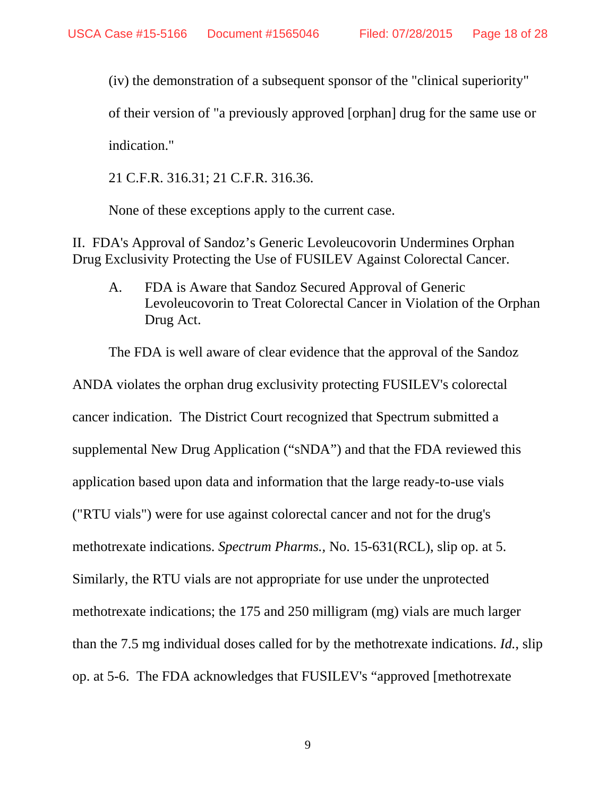(iv) the demonstration of a subsequent sponsor of the "clinical superiority"

of their version of "a previously approved [orphan] drug for the same use or

indication."

21 C.F.R. 316.31; 21 C.F.R. 316.36.

None of these exceptions apply to the current case.

II. FDA's Approval of Sandoz's Generic Levoleucovorin Undermines Orphan Drug Exclusivity Protecting the Use of FUSILEV Against Colorectal Cancer.

A. FDA is Aware that Sandoz Secured Approval of Generic Levoleucovorin to Treat Colorectal Cancer in Violation of the Orphan Drug Act.

The FDA is well aware of clear evidence that the approval of the Sandoz

ANDA violates the orphan drug exclusivity protecting FUSILEV's colorectal cancer indication. The District Court recognized that Spectrum submitted a supplemental New Drug Application ("sNDA") and that the FDA reviewed this application based upon data and information that the large ready-to-use vials ("RTU vials") were for use against colorectal cancer and not for the drug's methotrexate indications. *Spectrum Pharms.,* No. 15-631(RCL), slip op. at 5. Similarly, the RTU vials are not appropriate for use under the unprotected methotrexate indications; the 175 and 250 milligram (mg) vials are much larger than the 7.5 mg individual doses called for by the methotrexate indications. *Id.*, slip op. at 5-6. The FDA acknowledges that FUSILEV's "approved [methotrexate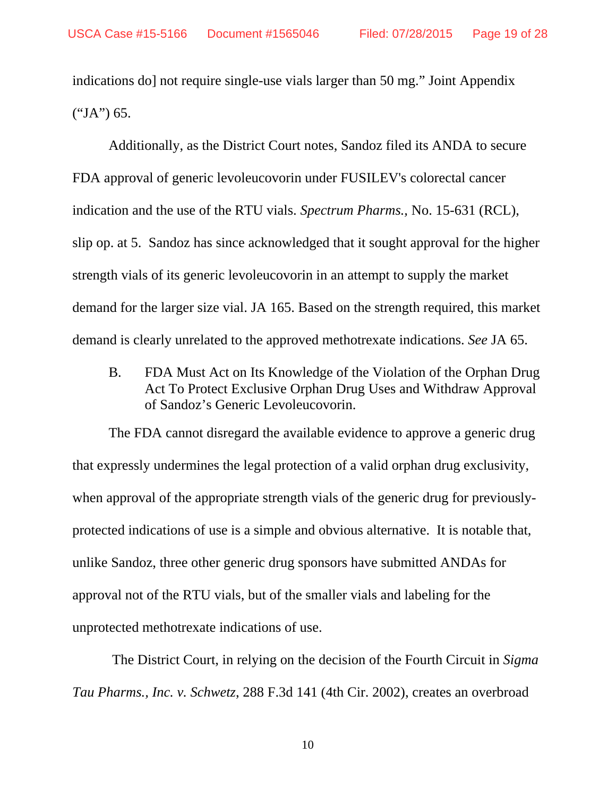indications do] not require single-use vials larger than 50 mg." Joint Appendix  $("JA") 65.$ 

 Additionally, as the District Court notes, Sandoz filed its ANDA to secure FDA approval of generic levoleucovorin under FUSILEV's colorectal cancer indication and the use of the RTU vials. *Spectrum Pharms.,* No. 15-631 (RCL), slip op. at 5. Sandoz has since acknowledged that it sought approval for the higher strength vials of its generic levoleucovorin in an attempt to supply the market demand for the larger size vial. JA 165. Based on the strength required, this market demand is clearly unrelated to the approved methotrexate indications. *See* JA 65.

B. FDA Must Act on Its Knowledge of the Violation of the Orphan Drug Act To Protect Exclusive Orphan Drug Uses and Withdraw Approval of Sandoz's Generic Levoleucovorin.

 The FDA cannot disregard the available evidence to approve a generic drug that expressly undermines the legal protection of a valid orphan drug exclusivity, when approval of the appropriate strength vials of the generic drug for previouslyprotected indications of use is a simple and obvious alternative. It is notable that, unlike Sandoz, three other generic drug sponsors have submitted ANDAs for approval not of the RTU vials, but of the smaller vials and labeling for the unprotected methotrexate indications of use.

 The District Court, in relying on the decision of the Fourth Circuit in *Sigma Tau Pharms., Inc. v. Schwetz*, 288 F.3d 141 (4th Cir. 2002), creates an overbroad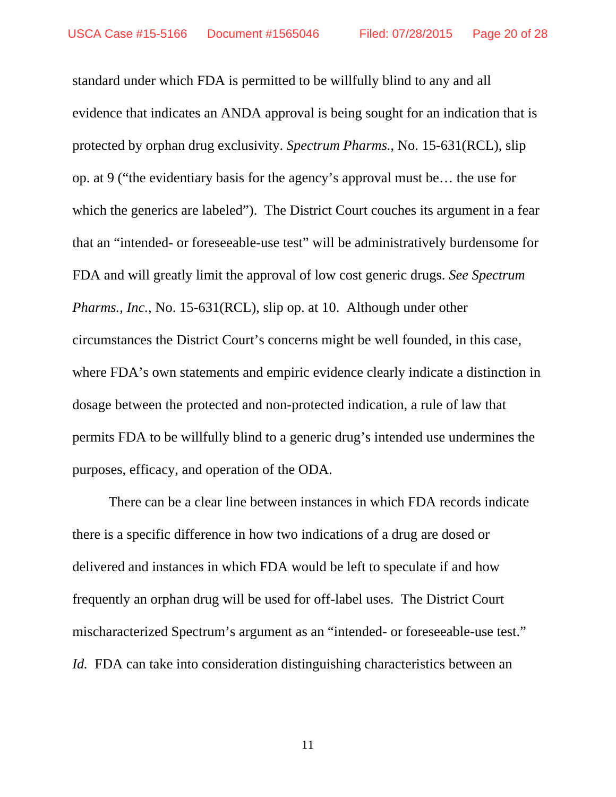standard under which FDA is permitted to be willfully blind to any and all evidence that indicates an ANDA approval is being sought for an indication that is protected by orphan drug exclusivity. *Spectrum Pharms.*, No. 15-631(RCL), slip op. at 9 ("the evidentiary basis for the agency's approval must be… the use for which the generics are labeled"). The District Court couches its argument in a fear that an "intended- or foreseeable-use test" will be administratively burdensome for FDA and will greatly limit the approval of low cost generic drugs. *See Spectrum Pharms., Inc.*, No. 15-631(RCL), slip op. at 10. Although under other circumstances the District Court's concerns might be well founded, in this case, where FDA's own statements and empiric evidence clearly indicate a distinction in dosage between the protected and non-protected indication, a rule of law that permits FDA to be willfully blind to a generic drug's intended use undermines the purposes, efficacy, and operation of the ODA.

There can be a clear line between instances in which FDA records indicate there is a specific difference in how two indications of a drug are dosed or delivered and instances in which FDA would be left to speculate if and how frequently an orphan drug will be used for off-label uses. The District Court mischaracterized Spectrum's argument as an "intended- or foreseeable-use test." *Id.* FDA can take into consideration distinguishing characteristics between an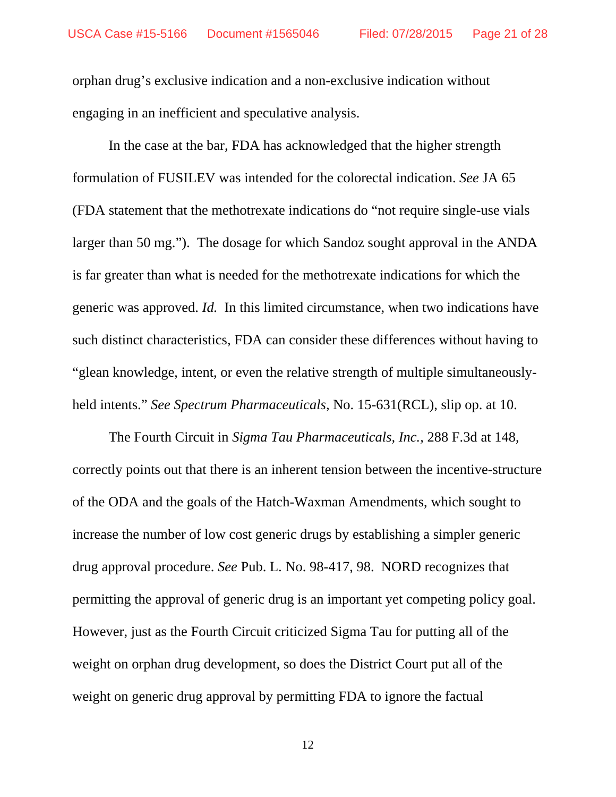orphan drug's exclusive indication and a non-exclusive indication without engaging in an inefficient and speculative analysis.

In the case at the bar, FDA has acknowledged that the higher strength formulation of FUSILEV was intended for the colorectal indication. *See* JA 65 (FDA statement that the methotrexate indications do "not require single-use vials larger than 50 mg."). The dosage for which Sandoz sought approval in the ANDA is far greater than what is needed for the methotrexate indications for which the generic was approved. *Id.* In this limited circumstance, when two indications have such distinct characteristics, FDA can consider these differences without having to "glean knowledge, intent, or even the relative strength of multiple simultaneouslyheld intents." *See Spectrum Pharmaceuticals,* No. 15-631(RCL), slip op. at 10.

The Fourth Circuit in *Sigma Tau Pharmaceuticals, Inc.,* 288 F.3d at 148, correctly points out that there is an inherent tension between the incentive-structure of the ODA and the goals of the Hatch-Waxman Amendments, which sought to increase the number of low cost generic drugs by establishing a simpler generic drug approval procedure. *See* Pub. L. No. 98-417, 98. NORD recognizes that permitting the approval of generic drug is an important yet competing policy goal. However, just as the Fourth Circuit criticized Sigma Tau for putting all of the weight on orphan drug development, so does the District Court put all of the weight on generic drug approval by permitting FDA to ignore the factual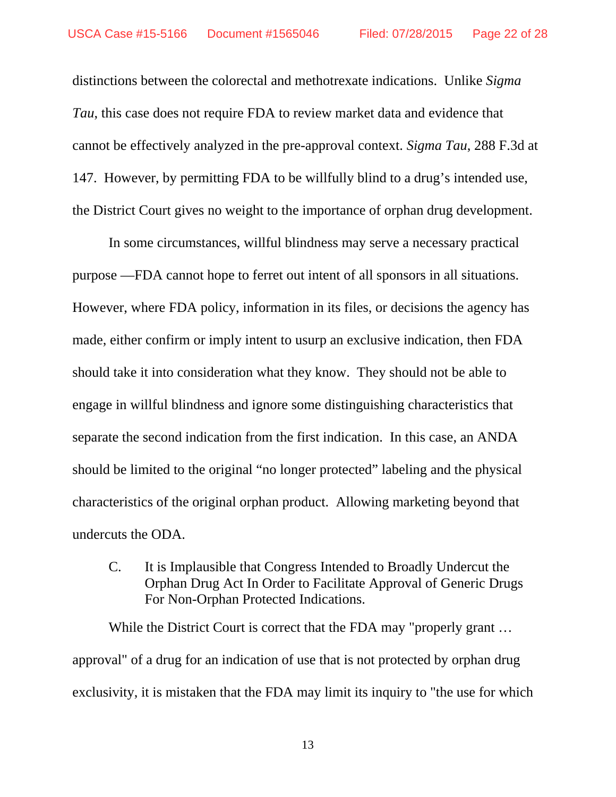distinctions between the colorectal and methotrexate indications. Unlike *Sigma Tau*, this case does not require FDA to review market data and evidence that cannot be effectively analyzed in the pre-approval context. *Sigma Tau*, 288 F.3d at 147. However, by permitting FDA to be willfully blind to a drug's intended use, the District Court gives no weight to the importance of orphan drug development.

In some circumstances, willful blindness may serve a necessary practical purpose —FDA cannot hope to ferret out intent of all sponsors in all situations. However, where FDA policy, information in its files, or decisions the agency has made, either confirm or imply intent to usurp an exclusive indication, then FDA should take it into consideration what they know. They should not be able to engage in willful blindness and ignore some distinguishing characteristics that separate the second indication from the first indication. In this case, an ANDA should be limited to the original "no longer protected" labeling and the physical characteristics of the original orphan product. Allowing marketing beyond that undercuts the ODA.

C. It is Implausible that Congress Intended to Broadly Undercut the Orphan Drug Act In Order to Facilitate Approval of Generic Drugs For Non-Orphan Protected Indications.

While the District Court is correct that the FDA may "properly grant ... approval" of a drug for an indication of use that is not protected by orphan drug exclusivity, it is mistaken that the FDA may limit its inquiry to "the use for which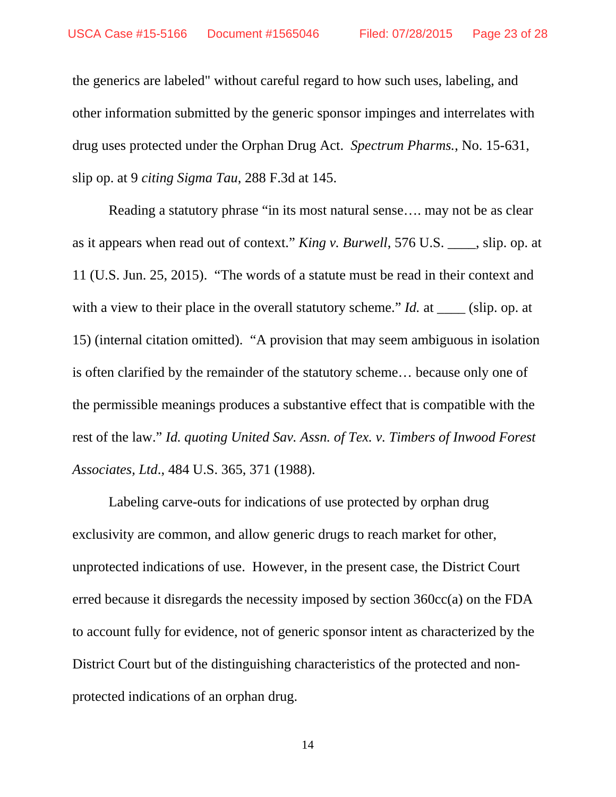the generics are labeled" without careful regard to how such uses, labeling, and other information submitted by the generic sponsor impinges and interrelates with drug uses protected under the Orphan Drug Act. *Spectrum Pharms.*, No. 15-631, slip op. at 9 *citing Sigma Tau*, 288 F.3d at 145.

Reading a statutory phrase "in its most natural sense…. may not be as clear as it appears when read out of context." *King v. Burwell*, 576 U.S. \_\_\_\_, slip. op. at 11 (U.S. Jun. 25, 2015). "The words of a statute must be read in their context and with a view to their place in the overall statutory scheme." *Id.* at \_\_\_\_\_ (slip. op. at 15) (internal citation omitted). "A provision that may seem ambiguous in isolation is often clarified by the remainder of the statutory scheme… because only one of the permissible meanings produces a substantive effect that is compatible with the rest of the law." *Id. quoting United Sav. Assn. of Tex. v. Timbers of Inwood Forest Associates, Ltd*., 484 U.S. 365, 371 (1988).

Labeling carve-outs for indications of use protected by orphan drug exclusivity are common, and allow generic drugs to reach market for other, unprotected indications of use. However, in the present case, the District Court erred because it disregards the necessity imposed by section 360cc(a) on the FDA to account fully for evidence, not of generic sponsor intent as characterized by the District Court but of the distinguishing characteristics of the protected and nonprotected indications of an orphan drug.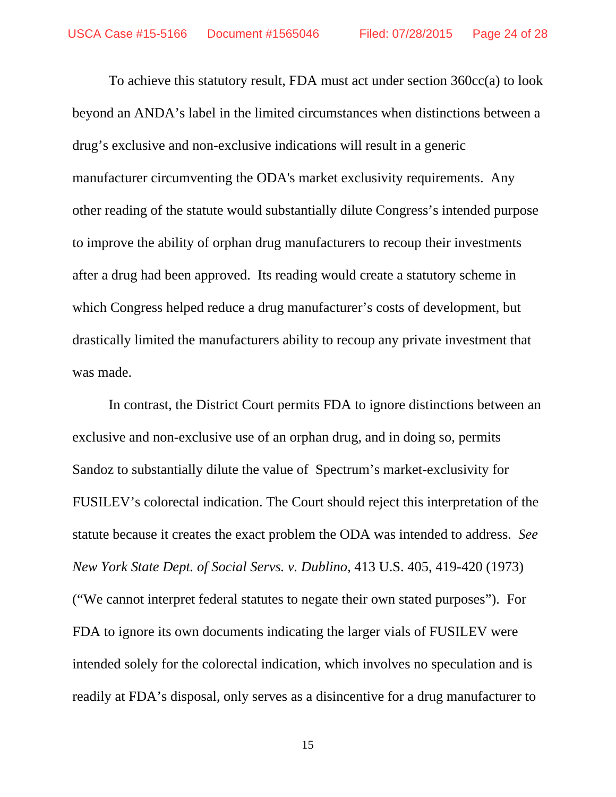To achieve this statutory result, FDA must act under section 360cc(a) to look beyond an ANDA's label in the limited circumstances when distinctions between a drug's exclusive and non-exclusive indications will result in a generic manufacturer circumventing the ODA's market exclusivity requirements. Any other reading of the statute would substantially dilute Congress's intended purpose to improve the ability of orphan drug manufacturers to recoup their investments after a drug had been approved. Its reading would create a statutory scheme in which Congress helped reduce a drug manufacturer's costs of development, but drastically limited the manufacturers ability to recoup any private investment that was made.

In contrast, the District Court permits FDA to ignore distinctions between an exclusive and non-exclusive use of an orphan drug, and in doing so, permits Sandoz to substantially dilute the value of Spectrum's market-exclusivity for FUSILEV's colorectal indication. The Court should reject this interpretation of the statute because it creates the exact problem the ODA was intended to address. *See New York State Dept. of Social Servs. v. Dublino*, 413 U.S. 405, 419-420 (1973) ("We cannot interpret federal statutes to negate their own stated purposes"). For FDA to ignore its own documents indicating the larger vials of FUSILEV were intended solely for the colorectal indication, which involves no speculation and is readily at FDA's disposal, only serves as a disincentive for a drug manufacturer to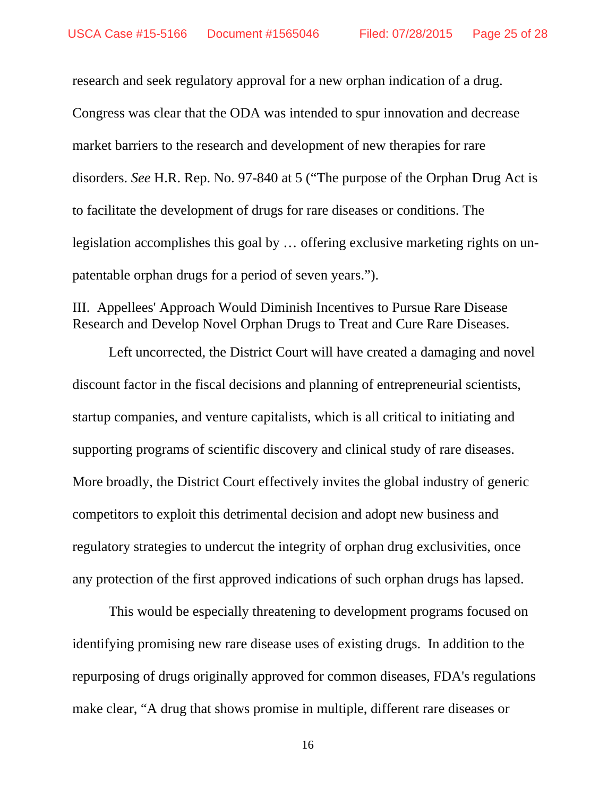research and seek regulatory approval for a new orphan indication of a drug. Congress was clear that the ODA was intended to spur innovation and decrease market barriers to the research and development of new therapies for rare disorders. *See* H.R. Rep. No. 97-840 at 5 ("The purpose of the Orphan Drug Act is to facilitate the development of drugs for rare diseases or conditions. The legislation accomplishes this goal by … offering exclusive marketing rights on unpatentable orphan drugs for a period of seven years.").

#### III. Appellees' Approach Would Diminish Incentives to Pursue Rare Disease Research and Develop Novel Orphan Drugs to Treat and Cure Rare Diseases.

Left uncorrected, the District Court will have created a damaging and novel discount factor in the fiscal decisions and planning of entrepreneurial scientists, startup companies, and venture capitalists, which is all critical to initiating and supporting programs of scientific discovery and clinical study of rare diseases. More broadly, the District Court effectively invites the global industry of generic competitors to exploit this detrimental decision and adopt new business and regulatory strategies to undercut the integrity of orphan drug exclusivities, once any protection of the first approved indications of such orphan drugs has lapsed.

 This would be especially threatening to development programs focused on identifying promising new rare disease uses of existing drugs. In addition to the repurposing of drugs originally approved for common diseases, FDA's regulations make clear, "A drug that shows promise in multiple, different rare diseases or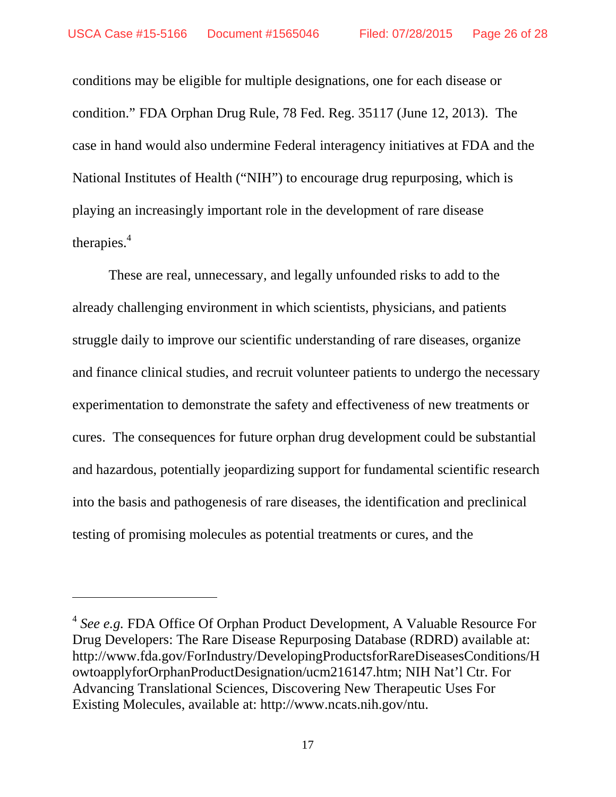$\overline{a}$ 

conditions may be eligible for multiple designations, one for each disease or condition." FDA Orphan Drug Rule, 78 Fed. Reg. 35117 (June 12, 2013). The case in hand would also undermine Federal interagency initiatives at FDA and the National Institutes of Health ("NIH") to encourage drug repurposing, which is playing an increasingly important role in the development of rare disease therapies. $4$ 

These are real, unnecessary, and legally unfounded risks to add to the already challenging environment in which scientists, physicians, and patients struggle daily to improve our scientific understanding of rare diseases, organize and finance clinical studies, and recruit volunteer patients to undergo the necessary experimentation to demonstrate the safety and effectiveness of new treatments or cures. The consequences for future orphan drug development could be substantial and hazardous, potentially jeopardizing support for fundamental scientific research into the basis and pathogenesis of rare diseases, the identification and preclinical testing of promising molecules as potential treatments or cures, and the

<sup>4</sup> *See e.g.* FDA Office Of Orphan Product Development, A Valuable Resource For Drug Developers: The Rare Disease Repurposing Database (RDRD) available at: http://www.fda.gov/ForIndustry/DevelopingProductsforRareDiseasesConditions/H owtoapplyforOrphanProductDesignation/ucm216147.htm; NIH Nat'l Ctr. For Advancing Translational Sciences, Discovering New Therapeutic Uses For Existing Molecules, available at: http://www.ncats.nih.gov/ntu.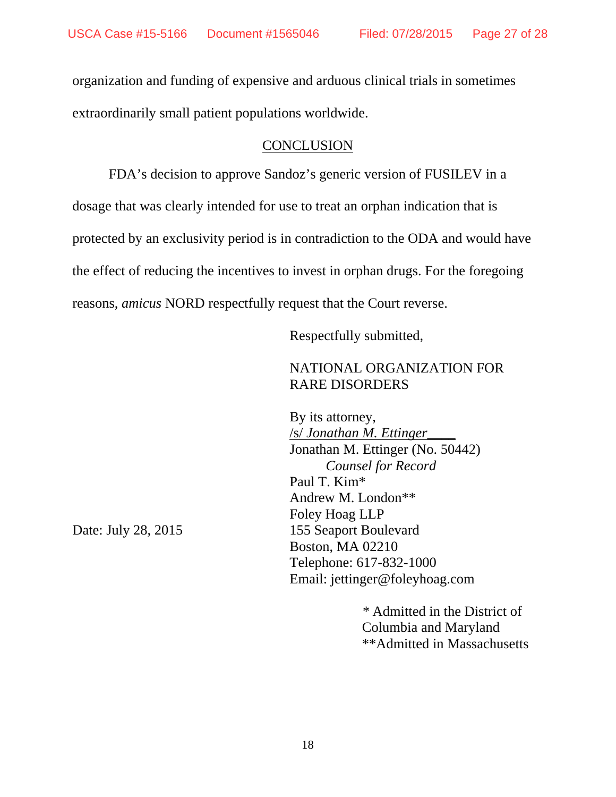organization and funding of expensive and arduous clinical trials in sometimes extraordinarily small patient populations worldwide.

#### **CONCLUSION**

FDA's decision to approve Sandoz's generic version of FUSILEV in a dosage that was clearly intended for use to treat an orphan indication that is protected by an exclusivity period is in contradiction to the ODA and would have the effect of reducing the incentives to invest in orphan drugs. For the foregoing reasons, *amicus* NORD respectfully request that the Court reverse.

Respectfully submitted,

# NATIONAL ORGANIZATION FOR RARE DISORDERS

 By its attorney, /s/ *Jonathan M. Ettinger\_\_\_\_*  Jonathan M. Ettinger (No. 50442) *Counsel for Record* Paul T. Kim\* Andrew M. London\*\* Foley Hoag LLP Date: July 28, 2015 155 Seaport Boulevard Boston, MA 02210 Telephone: 617-832-1000 Email: jettinger@foleyhoag.com

> *\** Admitted in the District of Columbia and Maryland \*\*Admitted in Massachusetts